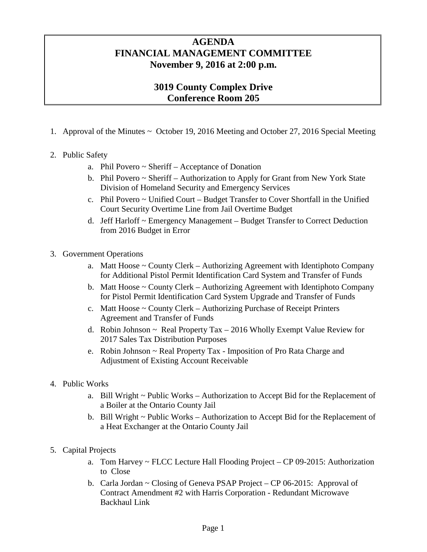## **AGENDA FINANCIAL MANAGEMENT COMMITTEE November 9, 2016 at 2:00 p.m.**

## **3019 County Complex Drive Conference Room 205**

1. Approval of the Minutes ~ October 19, 2016 Meeting and October 27, 2016 Special Meeting

## 2. Public Safety

- a. Phil Povero ~ Sheriff Acceptance of Donation
- b. Phil Povero ~ Sheriff Authorization to Apply for Grant from New York State Division of Homeland Security and Emergency Services
- c. Phil Povero ~ Unified Court Budget Transfer to Cover Shortfall in the Unified Court Security Overtime Line from Jail Overtime Budget
- d. Jeff Harloff ~ Emergency Management Budget Transfer to Correct Deduction from 2016 Budget in Error
- 3. Government Operations
	- a. Matt Hoose ~ County Clerk Authorizing Agreement with Identiphoto Company for Additional Pistol Permit Identification Card System and Transfer of Funds
	- b. Matt Hoose ~ County Clerk Authorizing Agreement with Identiphoto Company for Pistol Permit Identification Card System Upgrade and Transfer of Funds
	- c. Matt Hoose ~ County Clerk Authorizing Purchase of Receipt Printers Agreement and Transfer of Funds
	- d. Robin Johnson  $\sim$  Real Property Tax  $-2016$  Wholly Exempt Value Review for 2017 Sales Tax Distribution Purposes
	- e. Robin Johnson ~ Real Property Tax Imposition of Pro Rata Charge and Adjustment of Existing Account Receivable
- 4. Public Works
	- a. Bill Wright ~ Public Works Authorization to Accept Bid for the Replacement of a Boiler at the Ontario County Jail
	- b. Bill Wright ~ Public Works Authorization to Accept Bid for the Replacement of a Heat Exchanger at the Ontario County Jail
- 5. Capital Projects
	- a. Tom Harvey ~ FLCC Lecture Hall Flooding Project CP 09-2015: Authorization to Close
	- b. Carla Jordan ~ Closing of Geneva PSAP Project CP 06-2015: Approval of Contract Amendment #2 with Harris Corporation - Redundant Microwave Backhaul Link